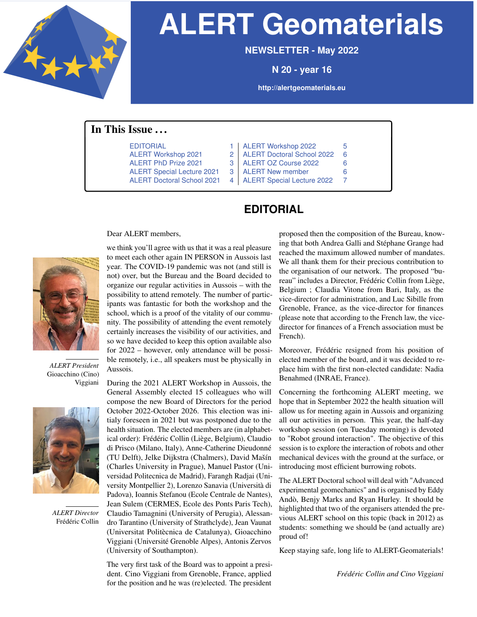<span id="page-0-1"></span>

# **ALERT Geomaterials**

**NEWSLETTER - May 2022**

**N 20 - year 16**

**<http://alertgeomaterials.eu>**

### <span id="page-0-2"></span>In This Issue . . .

- 
- 
- -
- 
- [EDITORIAL](#page-0-0) [1](#page-0-1) | [ALERT Workshop 2022](#page-4-0) [5](#page-1-0) [ALERT Workshop 2021](#page-1-1) [2](#page-0-1) | [ALERT Doctoral School 2022](#page-5-0) [6](#page-4-1) [ALERT PhD Prize 2021](#page-2-0) [3](#page-1-0) | [ALERT OZ Course 2022](#page-5-1) [6](#page-4-1)
- [ALERT Special Lecture 2021](#page-2-1) [3](#page-1-0) | [ALERT New member](#page-5-2) [6](#page-4-1)
- <span id="page-0-0"></span>[ALERT Doctoral School 2021](#page-3-0) [4](#page-1-0) | [ALERT Special Lecture 2022](#page-6-0) [7](#page-4-1)

# **EDITORIAL**

Dear ALERT members,



*ALERT President* Gioacchino (Cino) Viggiani



*ALERT Director* Frédéric Collin

we think you'll agree with us that it was a real pleasure to meet each other again IN PERSON in Aussois last year. The COVID-19 pandemic was not (and still is not) over, but the Bureau and the Board decided to organize our regular activities in Aussois – with the possibility to attend remotely. The number of participants was fantastic for both the workshop and the school, which is a proof of the vitality of our community. The possibility of attending the event remotely certainly increases the visibility of our activities, and so we have decided to keep this option available also for 2022 – however, only attendance will be possible remotely, i.e., all speakers must be physically in Aussois.

During the 2021 ALERT Workshop in Aussois, the General Assembly elected 15 colleagues who will compose the new Board of Directors for the period October 2022-October 2026. This election was initialy foreseen in 2021 but was postponed due to the health situation. The elected members are (in alphabetical order): Frédéric Collin (Liège, Belgium), Claudio di Prisco (Milano, Italy), Anne-Catherine Dieudonné (TU Delft), Jelke Dijkstra (Chalmers), David Mašín (Charles University in Prague), Manuel Pastor (Universidad Politecnica de Madrid), Farangh Radjai (University Montpellier 2), Lorenzo Sanavia (Università di Padova), Ioannis Stefanou (Ecole Centrale de Nantes), Jean Sulem (CERMES, Ecole des Ponts Paris Tech), Claudio Tamagnini (University of Perugia), Alessandro Tarantino (University of Strathclyde), Jean Vaunat (Universitat Politècnica de Catalunya), Gioacchino Viggiani (Université Grenoble Alpes), Antonis Zervos (University of Southampton).

The very first task of the Board was to appoint a president. Cino Viggiani from Grenoble, France, applied for the position and he was (re)elected. The president

proposed then the composition of the Bureau, knowing that both Andrea Galli and Stéphane Grange had reached the maximum allowed number of mandates. We all thank them for their precious contribution to the organisation of our network. The proposed "bureau" includes a Director, Frédéric Collin from Liège, Belgium ; Claudia Vitone from Bari, Italy, as the vice-director for administration, and Luc Sibille from Grenoble, France, as the vice-director for finances (please note that according to the French law, the vicedirector for finances of a French association must be French).

Moreover, Frédéric resigned from his position of elected member of the board, and it was decided to replace him with the first non-elected candidate: Nadia Benahmed (INRAE, France).

Concerning the forthcoming ALERT meeting, we hope that in September 2022 the health situation will allow us for meeting again in Aussois and organizing all our activities in person. This year, the half-day workshop session (on Tuesday morning) is devoted to "Robot ground interaction". The objective of this session is to explore the interaction of robots and other mechanical devices with the ground at the surface, or introducing most efficient burrowing robots.

The ALERT Doctoral school will deal with "Advanced experimental geomechanics" and is organised by Eddy Andò, Benjy Marks and Ryan Hurley. It should be highlighted that two of the organisers attended the previous ALERT school on this topic (back in 2012) as students: something we should be (and actually are) proud of!

Keep staying safe, long life to ALERT-Geomaterials!

*Frédéric Collin and Cino Viggiani*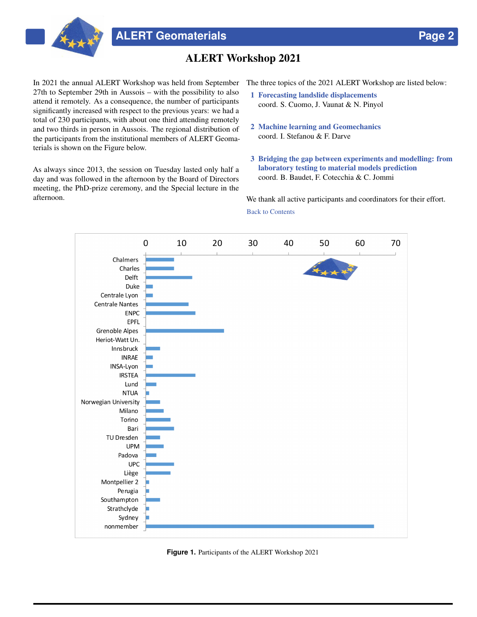

## ALERT Workshop 2021

<span id="page-1-1"></span>In 2021 the annual ALERT Workshop was held from September 27th to September 29th in Aussois – with the possibility to also attend it remotely. As a consequence, the number of participants significantly increased with respect to the previous years: we had a total of 230 participants, with about one third attending remotely and two thirds in person in Aussois. The regional distribution of the participants from the institutional members of ALERT Geomaterials is shown on the Figure below.

As always since 2013, the session on Tuesday lasted only half a day and was followed in the afternoon by the Board of Directors meeting, the PhD-prize ceremony, and the Special lecture in the afternoon.

The three topics of the 2021 ALERT Workshop are listed below:

- 1 Forecasting landslide displacements coord. S. Cuomo, J. Vaunat & N. Pinyol
- 2 Machine learning and Geomechanics coord. I. Stefanou & F. Darve
- 3 Bridging the gap between experiments and modelling: from laboratory testing to material models prediction coord. B. Baudet, F. Cotecchia & C. Jommi

We thank all active participants and coordinators for their effort. [Back to Contents](#page-0-2)

<span id="page-1-0"></span>

**Figure 1.** Participants of the ALERT Workshop 2021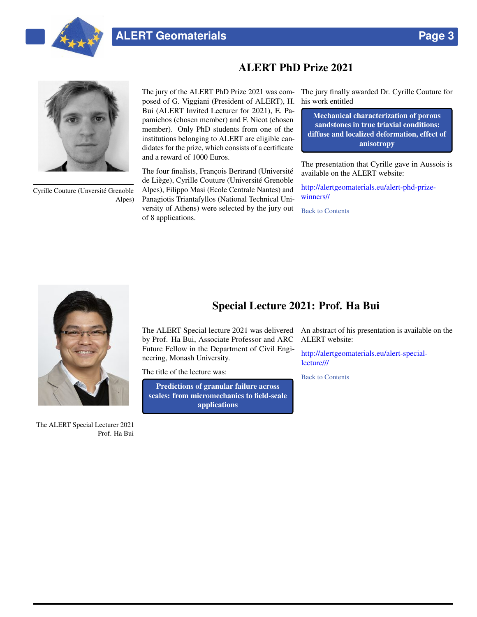



Cyrille Couture (Unversité Grenoble Alpes)

# ALERT PhD Prize 2021

posed of G. Viggiani (President of ALERT), H. his work entitled Bui (ALERT Invited Lecturer for 2021), E. Papamichos (chosen member) and F. Nicot (chosen member). Only PhD students from one of the institutions belonging to ALERT are eligible candidates for the prize, which consists of a certificate and a reward of 1000 Euros.

The four finalists, François Bertrand (Université de Liège), Cyrille Couture (Université Grenoble Alpes), Filippo Masi (Ecole Centrale Nantes) and Panagiotis Triantafyllos (National Technical University of Athens) were selected by the jury out of 8 applications.

<span id="page-2-0"></span>The jury of the ALERT PhD Prize 2021 was com-The jury finally awarded Dr. Cyrille Couture for

Mechanical characterization of porous sandstones in true triaxial conditions: diffuse and localized deformation, effect of anisotropy

The presentation that Cyrille gave in Aussois is available on the ALERT website:

[http://alertgeomaterials.eu/alert-phd-prize](http://alertgeomaterials.eu/alert-phd-prize-winners//)[winners//](http://alertgeomaterials.eu/alert-phd-prize-winners//)

[Back to Contents](#page-0-2)



The ALERT Special Lecturer 2021 Prof. Ha Bui

## Special Lecture 2021: Prof. Ha Bui

<span id="page-2-1"></span>The ALERT Special lecture 2021 was delivered by Prof. Ha Bui, Associate Professor and ARC Future Fellow in the Department of Civil Engineering, Monash University.

The title of the lecture was:

Predictions of granular failure across scales: from micromechanics to field-scale applications

An abstract of his presentation is available on the ALERT website:

[http://alertgeomaterials.eu/alert-special](http://alertgeomaterials.eu/alert-special-lecture///)[lecture///](http://alertgeomaterials.eu/alert-special-lecture///)

[Back to Contents](#page-0-2)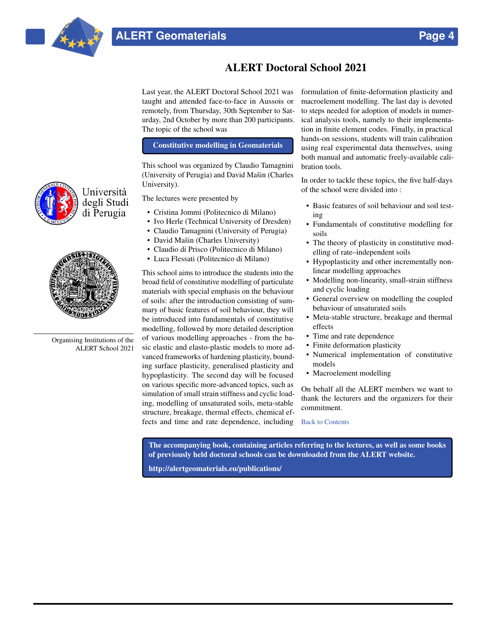

# ALERT Doctoral School 2021

<span id="page-3-0"></span>Last year, the ALERT Doctoral School 2021 was taught and attended face-to-face in Aussois or remotely, from Thursday, 30th September to Saturday, 2nd October by more than 200 participants. The topic of the school was

#### Constitutive modelling in Geomaterials

This school was organized by Claudio Tamagnini (University of Perugia) and David Mašin (Charles University).

The lectures were presented by

- Cristina Jommi (Politecnico di Milano)
- Ivo Herle (Technical University of Dresden)
- Claudio Tamagnini (University of Perugia)
- David Mašin (Charles University)
- Claudio di Prisco (Politecnico di Milano)
- Luca Flessati (Politecnico di Milano)

This school aims to introduce the students into the broad field of constitutive modelling of particulate materials with special emphasis on the behaviour of soils: after the introduction consisting of summary of basic features of soil behaviour, they will be introduced into fundamentals of constitutive modelling, followed by more detailed description of various modelling approaches - from the basic elastic and elasto-plastic models to more advanced frameworks of hardening plasticity, bounding surface plasticity, generalised plasticity and hypoplasticity. The second day will be focused on various specific more-advanced topics, such as simulation of small strain stiffness and cyclic loading, modelling of unsaturated soils, meta-stable structure, breakage, thermal effects, chemical effects and time and rate dependence, including

formulation of finite-deformation plasticity and macroelement modelling. The last day is devoted to steps needed for adoption of models in numerical analysis tools, namely to their implementation in finite element codes. Finally, in practical hands-on sessions, students will train calibration using real experimental data themselves, using both manual and automatic freely-available calibration tools.

In order to tackle these topics, the five half-days of the school were divided into :

- Basic features of soil behaviour and soil testing
- Fundamentals of constitutive modelling for soils
- The theory of plasticity in constitutive modelling of rate–independent soils
- Hypoplasticity and other incrementally nonlinear modelling approaches
- Modelling non-linearity, small-strain stiffness and cyclic loading
- General overview on modelling the coupled behaviour of unsaturated soils
- Meta-stable structure, breakage and thermal effects
- Time and rate dependence
- Finite deformation plasticity
- Numerical implementation of constitutive models
- Macroelement modelling

On behalf all the ALERT members we want to thank the lecturers and the organizers for their commitment.

#### [Back to Contents](#page-0-2)

The accompanying book, containing articles referring to the lectures, as well as some books of previously held doctoral schools can be downloaded from the ALERT website.

<http://alertgeomaterials.eu/publications/>





Organising Institutions of the ALERT School 2021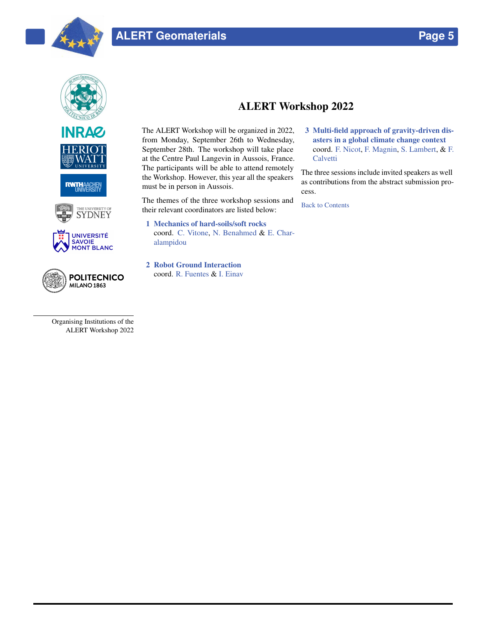













Organising Institutions of the ALERT Workshop 2022

# ALERT Workshop 2022

<span id="page-4-0"></span>The ALERT Workshop will be organized in 2022, from Monday, September 26th to Wednesday, September 28th. The workshop will take place at the Centre Paul Langevin in Aussois, France. The participants will be able to attend remotely the Workshop. However, this year all the speakers must be in person in Aussois.

The themes of the three workshop sessions and their relevant coordinators are listed below:

- 1 Mechanics of hard-soils/soft rocks coord. [C. Vitone,](mailto:claudia.vitone@poliba.it) [N. Benahmed](mailto:nadia.benahmed@inrae.fr) & [E. Char](mailto:ec10@hw.ac.uk)[alampidou](mailto:ec10@hw.ac.uk)
- 2 Robot Ground Interaction coord. [R. Fuentes](mailto:raul.fuentes@rwth-aachen.de) & [I. Einav](mailto:itai.einav@sydney.edu.au)

<span id="page-4-1"></span>3 Multi-field approach of gravity-driven disasters in a global climate change context coord. [F. Nicot,](mailto:francois.nicot@univ-smb.fr) [F. Magnin,](mailto:Florence.Magnin@univ-smb.fr) [S. Lambert,](mailto:stephane.lambert@inrae.fr) & [F.](mailto:francesco.calvetti@polimi.it) **[Calvetti](mailto:francesco.calvetti@polimi.it)** 

The three sessions include invited speakers as well as contributions from the abstract submission process.

[Back to Contents](#page-0-2)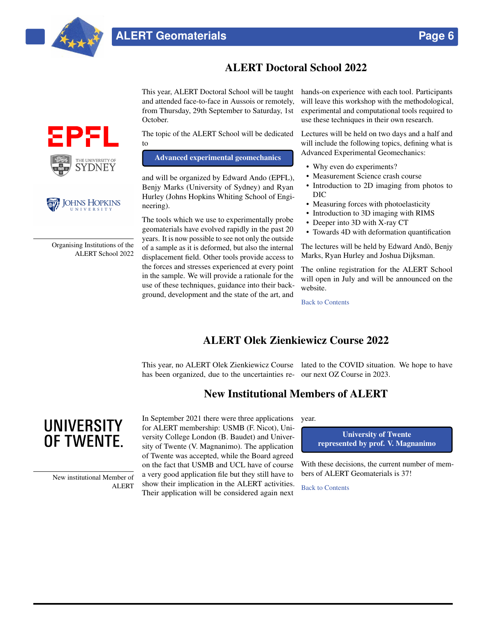

# ALERT Doctoral School 2022

<span id="page-5-0"></span>This year, ALERT Doctoral School will be taught and attended face-to-face in Aussois or remotely, from Thursday, 29th September to Saturday, 1st October.

The topic of the ALERT School will be dedicated to

Advanced experimental geomechanics

and will be organized by Edward Ando (EPFL), Benjy Marks (University of Sydney) and Ryan Hurley (Johns Hopkins Whiting School of Engineering).

The tools which we use to experimentally probe geomaterials have evolved rapidly in the past 20 years. It is now possible to see not only the outside of a sample as it is deformed, but also the internal displacement field. Other tools provide access to the forces and stresses experienced at every point in the sample. We will provide a rationale for the use of these techniques, guidance into their background, development and the state of the art, and

hands-on experience with each tool. Participants will leave this workshop with the methodological, experimental and computational tools required to use these techniques in their own research.

Lectures will be held on two days and a half and will include the following topics, defining what is Advanced Experimental Geomechanics:

- Why even do experiments?
- Measurement Science crash course
- Introduction to 2D imaging from photos to DIC
- Measuring forces with photoelasticity
- Introduction to 3D imaging with RIMS
- Deeper into 3D with X-ray CT
- Towards 4D with deformation quantification

The lectures will be held by Edward Andò, Benjy Marks, Ryan Hurley and Joshua Dijksman.

The online registration for the ALERT School will open in July and will be announced on the website.

[Back to Contents](#page-0-2)

## ALERT Olek Zienkiewicz Course 2022

<span id="page-5-2"></span><span id="page-5-1"></span>This year, no ALERT Olek Zienkiewicz Course lated to the COVID situation. We hope to have has been organized, due to the uncertainties re-our next OZ Course in 2023.

## New Institutional Members of ALERT

**UNIVERSITY** OF TWENTE.

> New institutional Member of ALERT

In September 2021 there were three applications for ALERT membership: USMB (F. Nicot), University College London (B. Baudet) and University of Twente (V. Magnanimo). The application of Twente was accepted, while the Board agreed on the fact that USMB and UCL have of course a very good application file but they still have to show their implication in the ALERT activities. Their application will be considered again next

year.

University of Twente represented by prof. V. Magnanimo

With these decisions, the current number of members of ALERT Geomaterials is 37!

[Back to Contents](#page-0-2)



Organising Institutions of the ALERT School 2022

**JOHNS HOPKINS** UNIVERSITY